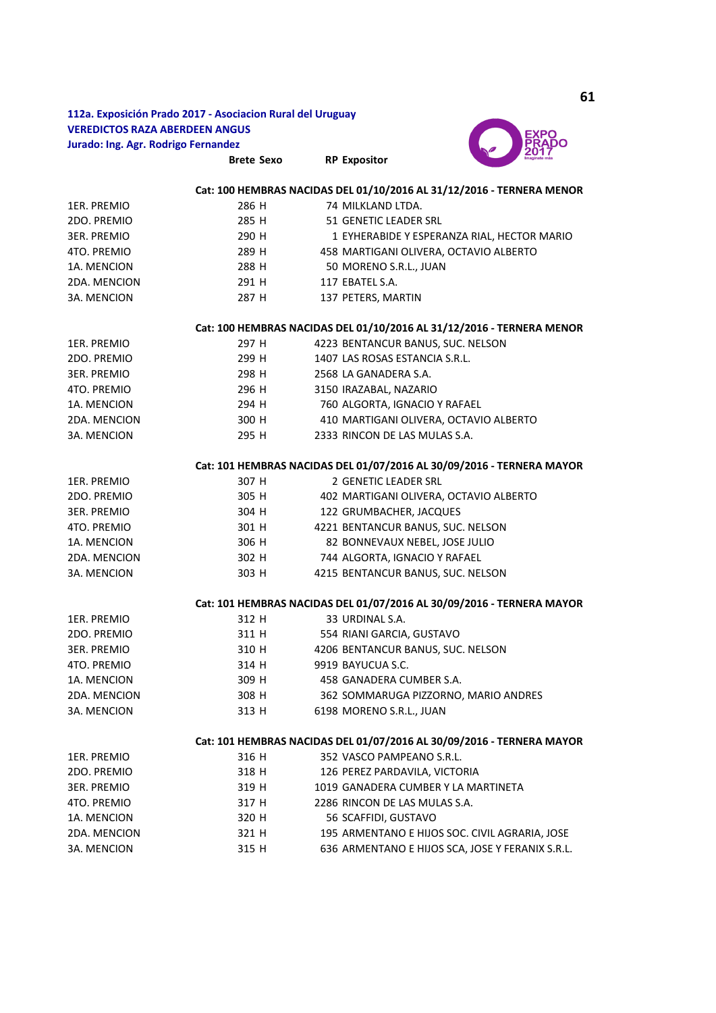## 112a. Exposición Prado 2017 - Asociacion Rural del Uruguay **VEREDICTOS RAZA ABERDEEN ANGUS** Jurado: Ing. Agr. Rodrigo Fernandez

**Brete Sexo** 



|                                                                       |                | Cat: 100 HEMBRAS NACIDAS DEL 01/10/2016 AL 31/12/2016 - TERNERA MENOR |  |  |  |
|-----------------------------------------------------------------------|----------------|-----------------------------------------------------------------------|--|--|--|
| 1ER. PREMIO                                                           | 286 H          | 74 MILKLAND LTDA.                                                     |  |  |  |
| 2DO. PREMIO                                                           | 285 H          | 51 GENETIC LEADER SRL                                                 |  |  |  |
| <b>3ER. PREMIO</b>                                                    | 290 H          | 1 EYHERABIDE Y ESPERANZA RIAL, HECTOR MARIO                           |  |  |  |
| 4TO. PREMIO                                                           | 289 H          | 458 MARTIGANI OLIVERA, OCTAVIO ALBERTO                                |  |  |  |
| 1A. MENCION                                                           | 288 H          | 50 MORENO S.R.L., JUAN                                                |  |  |  |
| 2DA. MENCION                                                          | 291 H          | 117 EBATEL S.A.                                                       |  |  |  |
| 3A. MENCION                                                           | 287 H          | 137 PETERS, MARTIN                                                    |  |  |  |
|                                                                       |                | Cat: 100 HEMBRAS NACIDAS DEL 01/10/2016 AL 31/12/2016 - TERNERA MENOR |  |  |  |
| 1ER. PREMIO                                                           | 297 H          | 4223 BENTANCUR BANUS, SUC. NELSON                                     |  |  |  |
| 2DO. PREMIO                                                           | 299 H          | 1407 LAS ROSAS ESTANCIA S.R.L.                                        |  |  |  |
| <b>3ER. PREMIO</b>                                                    | 298 H          | 2568 LA GANADERA S.A.                                                 |  |  |  |
| 4TO. PREMIO                                                           | 296 H          | 3150 IRAZABAL, NAZARIO                                                |  |  |  |
| 1A. MENCION                                                           | 294 H          | 760 ALGORTA, IGNACIO Y RAFAEL                                         |  |  |  |
| 2DA. MENCION                                                          | 300 H          | 410 MARTIGANI OLIVERA, OCTAVIO ALBERTO                                |  |  |  |
| 3A. MENCION                                                           | 295 H          | 2333 RINCON DE LAS MULAS S.A.                                         |  |  |  |
| Cat: 101 HEMBRAS NACIDAS DEL 01/07/2016 AL 30/09/2016 - TERNERA MAYOR |                |                                                                       |  |  |  |
| 1ER. PREMIO                                                           | 307 H          | 2 GENETIC LEADER SRL                                                  |  |  |  |
| 2DO. PREMIO                                                           | 305 H          | 402 MARTIGANI OLIVERA, OCTAVIO ALBERTO                                |  |  |  |
| <b>3ER. PREMIO</b>                                                    | 304 H          | 122 GRUMBACHER, JACQUES                                               |  |  |  |
| 4TO. PREMIO                                                           | 301 H          | 4221 BENTANCUR BANUS, SUC. NELSON                                     |  |  |  |
| 1A. MENCION                                                           | 306 H          | 82 BONNEVAUX NEBEL, JOSE JULIO                                        |  |  |  |
| 2DA. MENCION                                                          | 302 H          | 744 ALGORTA, IGNACIO Y RAFAEL                                         |  |  |  |
| 3A. MENCION                                                           | 303 H          | 4215 BENTANCUR BANUS, SUC. NELSON                                     |  |  |  |
| Cat: 101 HEMBRAS NACIDAS DEL 01/07/2016 AL 30/09/2016 - TERNERA MAYOR |                |                                                                       |  |  |  |
| 1ER. PREMIO                                                           | 312 H          | 33 URDINAL S.A.                                                       |  |  |  |
| 2DO. PREMIO                                                           | 311 H          | 554 RIANI GARCIA, GUSTAVO                                             |  |  |  |
| <b>3ER. PREMIO</b>                                                    | 310 H          | 4206 BENTANCUR BANUS, SUC. NELSON                                     |  |  |  |
| 4TO. PREMIO                                                           | 314 H          | 9919 BAYUCUA S.C.                                                     |  |  |  |
| 1A. MENCION                                                           | 309 H          | 458 GANADERA CUMBER S.A.                                              |  |  |  |
| 2DA. MENCION                                                          | 308 H          | 362 SOMMARUGA PIZZORNO, MARIO ANDRES                                  |  |  |  |
| 3A. MENCION                                                           | 313 H          | 6198 MORENO S.R.L., JUAN                                              |  |  |  |
|                                                                       |                | Cat: 101 HEMBRAS NACIDAS DEL 01/07/2016 AL 30/09/2016 - TERNERA MAYOR |  |  |  |
| 1ER. PREMIO                                                           | 316 H          | 352 VASCO PAMPEANO S.R.L.                                             |  |  |  |
| 2DO. PREMIO                                                           | 318 H          |                                                                       |  |  |  |
| <b>3ER. PREMIO</b>                                                    | 319 H          | 126 PEREZ PARDAVILA, VICTORIA<br>1019 GANADERA CUMBER Y LA MARTINETA  |  |  |  |
|                                                                       |                |                                                                       |  |  |  |
| 4TO. PREMIO<br>1A. MENCION                                            | 317 H          | 2286 RINCON DE LAS MULAS S.A.                                         |  |  |  |
| 2DA. MENCION                                                          | 320 H<br>321 H | 56 SCAFFIDI, GUSTAVO                                                  |  |  |  |
|                                                                       | 315 H          | 195 ARMENTANO E HIJOS SOC. CIVIL AGRARIA, JOSE                        |  |  |  |
| 3A. MENCION                                                           |                | 636 ARMENTANO E HIJOS SCA, JOSE Y FERANIX S.R.L.                      |  |  |  |

**RP Expositor**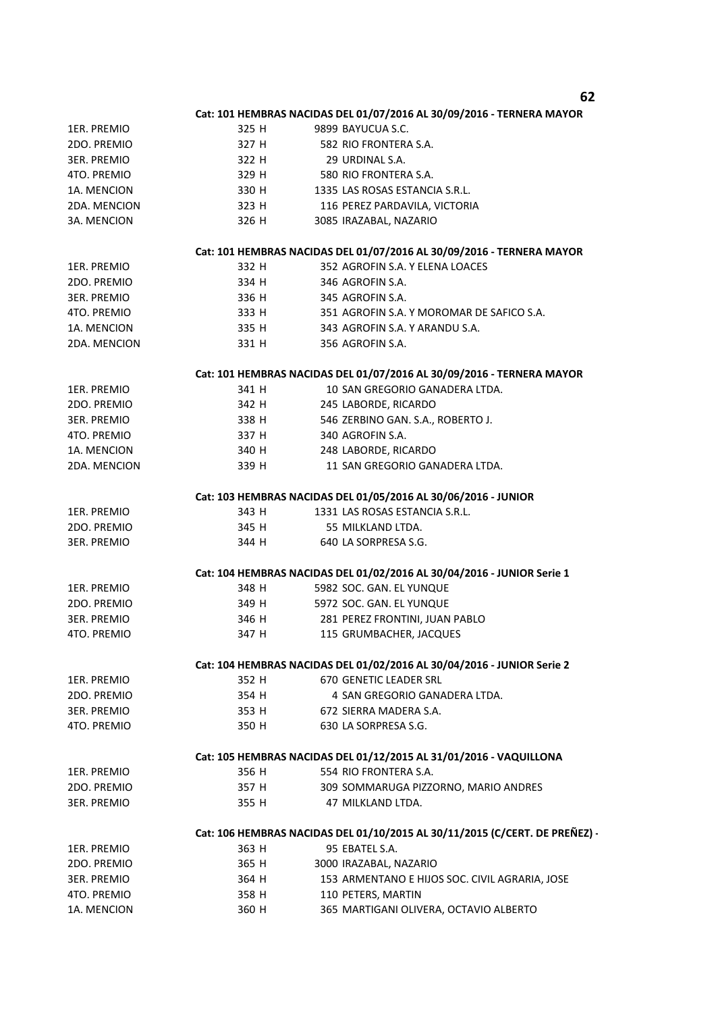|                                                                        |                                                                             | 62                                                                     |  |  |  |
|------------------------------------------------------------------------|-----------------------------------------------------------------------------|------------------------------------------------------------------------|--|--|--|
|                                                                        |                                                                             | Cat: 101 HEMBRAS NACIDAS DEL 01/07/2016 AL 30/09/2016 - TERNERA MAYOR  |  |  |  |
| 1ER. PREMIO                                                            | 325 H                                                                       | 9899 BAYUCUA S.C.                                                      |  |  |  |
| 2DO. PREMIO                                                            | 327 H                                                                       | 582 RIO FRONTERA S.A.                                                  |  |  |  |
| <b>3ER. PREMIO</b>                                                     | 322 H                                                                       | 29 URDINAL S.A.                                                        |  |  |  |
| 4TO. PREMIO                                                            | 329 H                                                                       | 580 RIO FRONTERA S.A.                                                  |  |  |  |
| 1A. MENCION                                                            | 330 H                                                                       | 1335 LAS ROSAS ESTANCIA S.R.L.                                         |  |  |  |
| 2DA. MENCION                                                           | 323 H                                                                       | 116 PEREZ PARDAVILA, VICTORIA                                          |  |  |  |
| 3A. MENCION                                                            | 326 H                                                                       | 3085 IRAZABAL, NAZARIO                                                 |  |  |  |
|                                                                        |                                                                             | Cat: 101 HEMBRAS NACIDAS DEL 01/07/2016 AL 30/09/2016 - TERNERA MAYOR  |  |  |  |
| 1ER. PREMIO                                                            | 332 H                                                                       | 352 AGROFIN S.A. Y ELENA LOACES                                        |  |  |  |
| 2DO. PREMIO                                                            | 334 H                                                                       | 346 AGROFIN S.A.                                                       |  |  |  |
| 3ER. PREMIO                                                            | 336 H                                                                       | 345 AGROFIN S.A.                                                       |  |  |  |
| 4TO. PREMIO                                                            | 333 H                                                                       | 351 AGROFIN S.A. Y MOROMAR DE SAFICO S.A.                              |  |  |  |
|                                                                        |                                                                             |                                                                        |  |  |  |
| 1A. MENCION                                                            | 335 H                                                                       | 343 AGROFIN S.A. Y ARANDU S.A.                                         |  |  |  |
| 2DA. MENCION                                                           | 331 H                                                                       | 356 AGROFIN S.A.                                                       |  |  |  |
| Cat: 101 HEMBRAS NACIDAS DEL 01/07/2016 AL 30/09/2016 - TERNERA MAYOR  |                                                                             |                                                                        |  |  |  |
| 1ER. PREMIO                                                            | 341 H                                                                       | 10 SAN GREGORIO GANADERA LTDA.                                         |  |  |  |
| 2DO. PREMIO                                                            | 342 H                                                                       | 245 LABORDE, RICARDO                                                   |  |  |  |
| 3ER. PREMIO                                                            | 338 H                                                                       | 546 ZERBINO GAN. S.A., ROBERTO J.                                      |  |  |  |
| 4TO. PREMIO                                                            | 337 H                                                                       | 340 AGROFIN S.A.                                                       |  |  |  |
| 1A. MENCION                                                            | 340 H                                                                       | 248 LABORDE, RICARDO                                                   |  |  |  |
| 2DA. MENCION                                                           | 339 H                                                                       | 11 SAN GREGORIO GANADERA LTDA.                                         |  |  |  |
|                                                                        |                                                                             | Cat: 103 HEMBRAS NACIDAS DEL 01/05/2016 AL 30/06/2016 - JUNIOR         |  |  |  |
| 1ER. PREMIO                                                            | 343 H                                                                       | 1331 LAS ROSAS ESTANCIA S.R.L.                                         |  |  |  |
| 2DO. PREMIO                                                            | 345 H                                                                       | 55 MILKLAND LTDA.                                                      |  |  |  |
| 3ER. PREMIO                                                            | 344 H                                                                       | 640 LA SORPRESA S.G.                                                   |  |  |  |
|                                                                        |                                                                             | Cat: 104 HEMBRAS NACIDAS DEL 01/02/2016 AL 30/04/2016 - JUNIOR Serie 1 |  |  |  |
|                                                                        |                                                                             |                                                                        |  |  |  |
| 1ER. PREMIO                                                            | 348 H                                                                       | 5982 SOC. GAN. EL YUNQUE                                               |  |  |  |
| 2DO. PREMIO                                                            | 349 H                                                                       | 5972 SOC. GAN. EL YUNQUE                                               |  |  |  |
| 3ER. PREMIO                                                            | 346 H                                                                       | 281 PEREZ FRONTINI, JUAN PABLO                                         |  |  |  |
| 4TO. PREMIO                                                            | 347 H                                                                       | 115 GRUMBACHER, JACQUES                                                |  |  |  |
| Cat: 104 HEMBRAS NACIDAS DEL 01/02/2016 AL 30/04/2016 - JUNIOR Serie 2 |                                                                             |                                                                        |  |  |  |
| 1ER. PREMIO                                                            | 352 H                                                                       | 670 GENETIC LEADER SRL                                                 |  |  |  |
| 2DO. PREMIO                                                            | 354 H                                                                       | 4 SAN GREGORIO GANADERA LTDA.                                          |  |  |  |
| 3ER. PREMIO                                                            |                                                                             | 353 H<br>672 SIERRA MADERA S.A.                                        |  |  |  |
| 4TO. PREMIO                                                            | 350 H                                                                       | 630 LA SORPRESA S.G.                                                   |  |  |  |
| Cat: 105 HEMBRAS NACIDAS DEL 01/12/2015 AL 31/01/2016 - VAQUILLONA     |                                                                             |                                                                        |  |  |  |
| 1ER. PREMIO                                                            | 356 H                                                                       | 554 RIO FRONTERA S.A.                                                  |  |  |  |
| 2DO. PREMIO                                                            | 357 H                                                                       | 309 SOMMARUGA PIZZORNO, MARIO ANDRES                                   |  |  |  |
| 3ER. PREMIO                                                            | 355 H                                                                       | 47 MILKLAND LTDA.                                                      |  |  |  |
|                                                                        | Cat: 106 HEMBRAS NACIDAS DEL 01/10/2015 AL 30/11/2015 (C/CERT. DE PREÑEZ) - |                                                                        |  |  |  |
| 1ER. PREMIO                                                            | 363 H                                                                       | 95 EBATEL S.A.                                                         |  |  |  |
| 2DO. PREMIO                                                            | 365 H                                                                       | 3000 IRAZABAL, NAZARIO                                                 |  |  |  |
| 3ER. PREMIO                                                            | 364 H                                                                       | 153 ARMENTANO E HIJOS SOC. CIVIL AGRARIA, JOSE                         |  |  |  |
| 4TO. PREMIO                                                            | 358 H                                                                       | 110 PETERS, MARTIN                                                     |  |  |  |
| 1A. MENCION                                                            |                                                                             | 365 MARTIGANI OLIVERA, OCTAVIO ALBERTO                                 |  |  |  |
|                                                                        | 360 H                                                                       |                                                                        |  |  |  |

**62**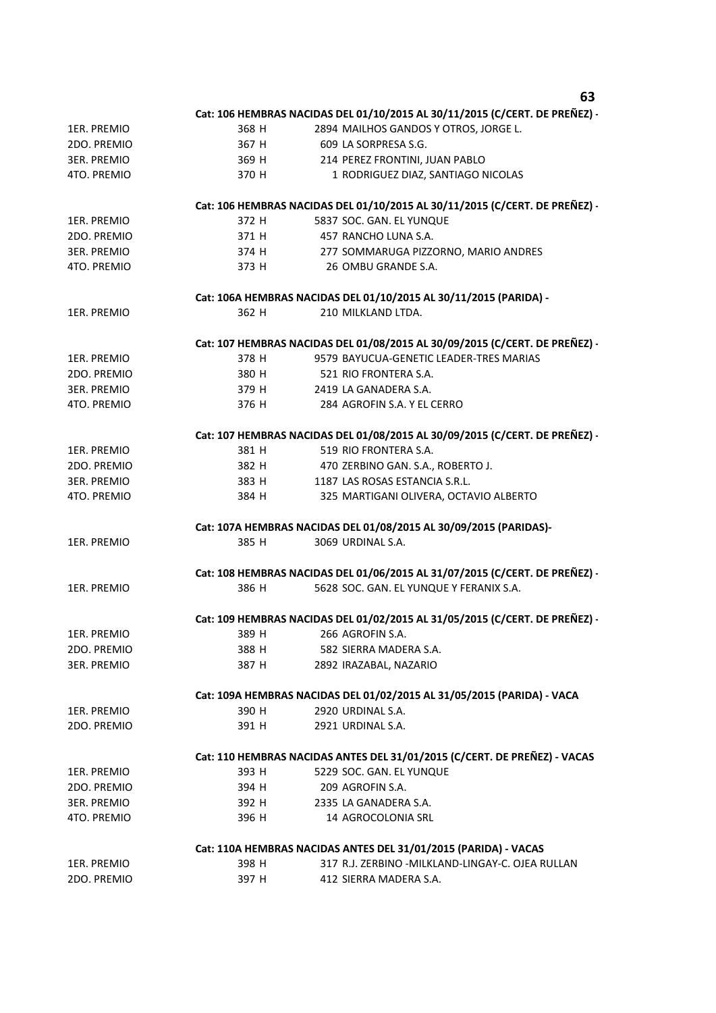|                    |       | งว                                                                          |
|--------------------|-------|-----------------------------------------------------------------------------|
|                    |       | Cat: 106 HEMBRAS NACIDAS DEL 01/10/2015 AL 30/11/2015 (C/CERT. DE PREÑEZ) - |
| 1ER. PREMIO        | 368 H | 2894 MAILHOS GANDOS Y OTROS, JORGE L.                                       |
| 2DO. PREMIO        | 367 H | 609 LA SORPRESA S.G.                                                        |
| <b>3ER. PREMIO</b> | 369 H | 214 PEREZ FRONTINI, JUAN PABLO                                              |
| 4TO. PREMIO        | 370 H | 1 RODRIGUEZ DIAZ, SANTIAGO NICOLAS                                          |
|                    |       |                                                                             |
|                    |       | Cat: 106 HEMBRAS NACIDAS DEL 01/10/2015 AL 30/11/2015 (C/CERT. DE PREÑEZ) - |
| 1ER. PREMIO        | 372 H | 5837 SOC. GAN. EL YUNQUE                                                    |
| 2DO. PREMIO        | 371 H | 457 RANCHO LUNA S.A.                                                        |
| 3ER. PREMIO        | 374 H | 277 SOMMARUGA PIZZORNO, MARIO ANDRES                                        |
| 4TO. PREMIO        | 373 H | 26 OMBU GRANDE S.A.                                                         |
|                    |       | Cat: 106A HEMBRAS NACIDAS DEL 01/10/2015 AL 30/11/2015 (PARIDA) -           |
| 1ER. PREMIO        | 362 H | 210 MILKLAND LTDA.                                                          |
|                    |       | Cat: 107 HEMBRAS NACIDAS DEL 01/08/2015 AL 30/09/2015 (C/CERT. DE PREÑEZ) - |
| 1ER. PREMIO        | 378 H | 9579 BAYUCUA-GENETIC LEADER-TRES MARIAS                                     |
| 2DO. PREMIO        | 380 H | 521 RIO FRONTERA S.A.                                                       |
| <b>3ER. PREMIO</b> | 379 H | 2419 LA GANADERA S.A.                                                       |
| 4TO. PREMIO        | 376 H | 284 AGROFIN S.A. Y EL CERRO                                                 |
|                    |       |                                                                             |
|                    |       | Cat: 107 HEMBRAS NACIDAS DEL 01/08/2015 AL 30/09/2015 (C/CERT. DE PREÑEZ) - |
| 1ER. PREMIO        | 381 H | 519 RIO FRONTERA S.A.                                                       |
| 2DO. PREMIO        |       | 382 H 470 ZERBINO GAN. S.A., ROBERTO J.                                     |
| 3ER. PREMIO        | 383 H | 1187 LAS ROSAS ESTANCIA S.R.L.                                              |
| 4TO. PREMIO        | 384 H | 325 MARTIGANI OLIVERA, OCTAVIO ALBERTO                                      |
|                    |       | Cat: 107A HEMBRAS NACIDAS DEL 01/08/2015 AL 30/09/2015 (PARIDAS)-           |
| 1ER. PREMIO        | 385 H | 3069 URDINAL S.A.                                                           |
|                    |       |                                                                             |
|                    |       | Cat: 108 HEMBRAS NACIDAS DEL 01/06/2015 AL 31/07/2015 (C/CERT. DE PREÑEZ) - |
| 1ER. PREMIO        | 386 H | 5628 SOC. GAN. EL YUNQUE Y FERANIX S.A.                                     |
|                    |       | Cat: 109 HEMBRAS NACIDAS DEL 01/02/2015 AL 31/05/2015 (C/CERT. DE PREÑEZ) - |
| 1ER. PREMIO        | 389 H | 266 AGROFIN S.A.                                                            |
| 2DO. PREMIO        | 388 H | 582 SIERRA MADERA S.A.                                                      |
| <b>3ER. PREMIO</b> | 387 H | 2892 IRAZABAL, NAZARIO                                                      |
|                    |       |                                                                             |
|                    |       | Cat: 109A HEMBRAS NACIDAS DEL 01/02/2015 AL 31/05/2015 (PARIDA) - VACA      |
| 1ER. PREMIO        | 390 H | 2920 URDINAL S.A.                                                           |
| 2DO. PREMIO        | 391 H | 2921 URDINAL S.A.                                                           |
|                    |       | Cat: 110 HEMBRAS NACIDAS ANTES DEL 31/01/2015 (C/CERT. DE PREÑEZ) - VACAS   |
| 1ER. PREMIO        | 393 H | 5229 SOC. GAN. EL YUNQUE                                                    |
| 2DO. PREMIO        | 394 H | 209 AGROFIN S.A.                                                            |
| <b>3ER. PREMIO</b> | 392 H | 2335 LA GANADERA S.A.                                                       |
| 4TO. PREMIO        | 396 H | 14 AGROCOLONIA SRL                                                          |
|                    |       | Cat: 110A HEMBRAS NACIDAS ANTES DEL 31/01/2015 (PARIDA) - VACAS             |
| 1ER. PREMIO        | 398 H | 317 R.J. ZERBINO - MILKLAND-LINGAY-C. OJEA RULLAN                           |
| 2DO. PREMIO        | 397 H | 412 SIERRA MADERA S.A.                                                      |
|                    |       |                                                                             |

**63**